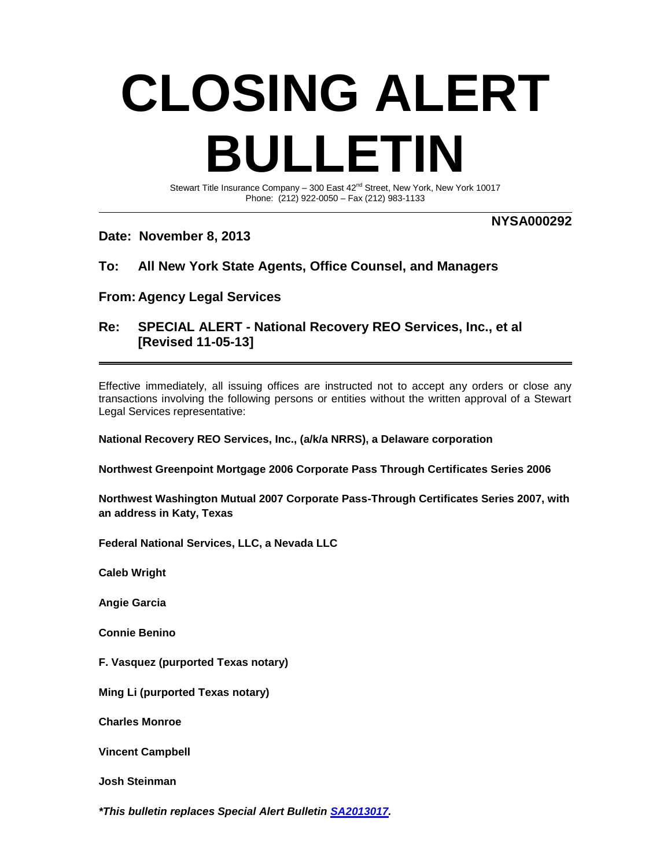## **CLOSING ALERT BULLETIN**

Stewart Title Insurance Company - 300 East  $42^{nd}$  Street, New York, New York 10017 Phone: (212) 922-0050 – Fax (212) 983-1133

## **Date: November 8, 2013**

**NYSA000292**

## **To: All New York State Agents, Office Counsel, and Managers**

**From: Agency Legal Services**

## **Re: SPECIAL ALERT - National Recovery REO Services, Inc., et al [Revised 11-05-13]**

Effective immediately, all issuing offices are instructed not to accept any orders or close any transactions involving the following persons or entities without the written approval of a Stewart Legal Services representative:

**National Recovery REO Services, Inc., (a/k/a NRRS), a Delaware corporation**

**Northwest Greenpoint Mortgage 2006 Corporate Pass Through Certificates Series 2006**

**Northwest Washington Mutual 2007 Corporate Pass-Through Certificates Series 2007, with an address in Katy, Texas**

**Federal National Services, LLC, a Nevada LLC**

**Caleb Wright**

**Angie Garcia**

**Connie Benino**

**F. Vasquez (purported Texas notary)**

**Ming Li (purported Texas notary)**

**Charles Monroe**

**Vincent Campbell**

**Josh Steinman**

*\*This bulletin replaces Special Alert Bulletin [SA2013017.](http://view.exacttarget.com/?j=fe5d1075726706757410&m=fef91775716d05&ls=fdfd10737161017e75147877&l=fe521579736d0c757114&s=fe561174746c037b7310&jb=ffcf14&ju=fe23167972670d74711471)*